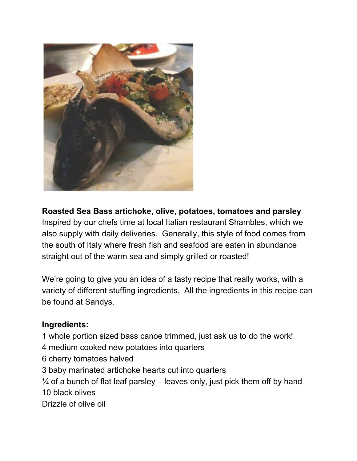

**Roasted Sea Bass artichoke, olive, potatoes, tomatoes and parsley** Inspired by our chefs time at local Italian restaurant Shambles, which we also supply with daily deliveries. Generally, this style of food comes from the south of Italy where fresh fish and seafood are eaten in abundance straight out of the warm sea and simply grilled or roasted!

We're going to give you an idea of a tasty recipe that really works, with a variety of different stuffing ingredients. All the ingredients in this recipe can be found at Sandys.

## **Ingredients:**

1 whole portion sized bass canoe trimmed, just ask us to do the work!

- 4 medium cooked new potatoes into quarters
- 6 cherry tomatoes halved
- 3 baby marinated artichoke hearts cut into quarters

 $\frac{1}{4}$  of a bunch of flat leaf parsley – leaves only, just pick them off by hand 10 black olives

Drizzle of olive oil